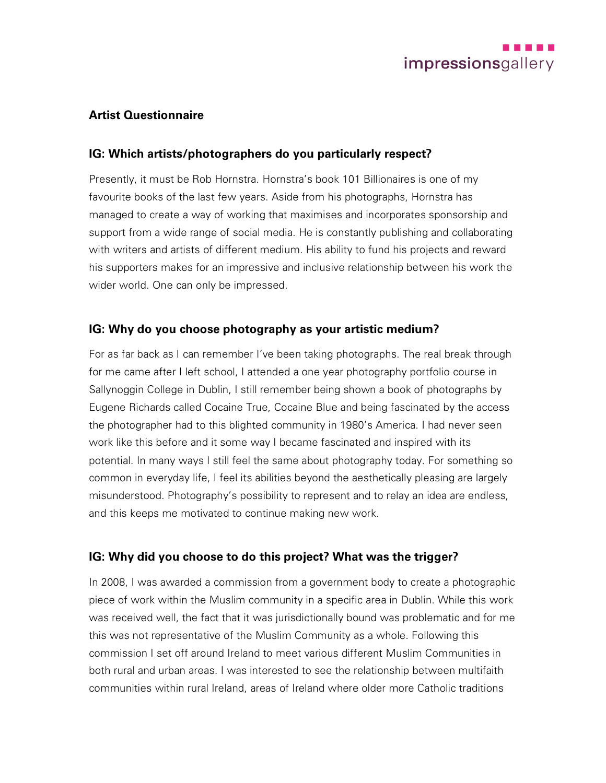

### **Artist Questionnaire**

#### **IG: Which artists/photographers do you particularly respect?**

Presently, it must be Rob Hornstra. Hornstra's book 101 Billionaires is one of my favourite books of the last few years. Aside from his photographs, Hornstra has managed to create a way of working that maximises and incorporates sponsorship and support from a wide range of social media. He is constantly publishing and collaborating with writers and artists of different medium. His ability to fund his projects and reward his supporters makes for an impressive and inclusive relationship between his work the wider world. One can only be impressed.

### **IG: Why do you choose photography as your artistic medium?**

For as far back as I can remember I've been taking photographs. The real break through for me came after I left school, I attended a one year photography portfolio course in Sallynoggin College in Dublin, I still remember being shown a book of photographs by Eugene Richards called Cocaine True, Cocaine Blue and being fascinated by the access the photographer had to this blighted community in 1980's America. I had never seen work like this before and it some way I became fascinated and inspired with its potential. In many ways I still feel the same about photography today. For something so common in everyday life, I feel its abilities beyond the aesthetically pleasing are largely misunderstood. Photography's possibility to represent and to relay an idea are endless, and this keeps me motivated to continue making new work.

#### **IG: Why did you choose to do this project? What was the trigger?**

In 2008, I was awarded a commission from a government body to create a photographic piece of work within the Muslim community in a specific area in Dublin. While this work was received well, the fact that it was jurisdictionally bound was problematic and for me this was not representative of the Muslim Community as a whole. Following this commission I set off around Ireland to meet various different Muslim Communities in both rural and urban areas. I was interested to see the relationship between multifaith communities within rural Ireland, areas of Ireland where older more Catholic traditions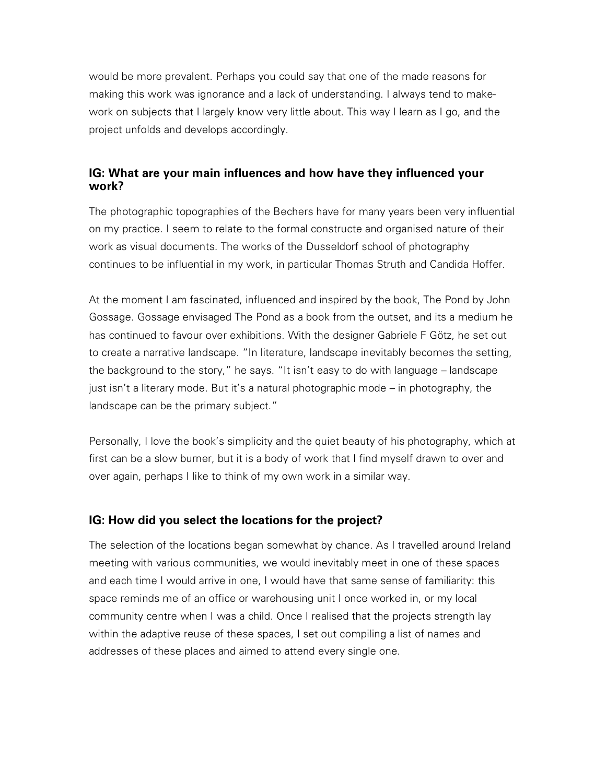would be more prevalent. Perhaps you could say that one of the made reasons for making this work was ignorance and a lack of understanding. I always tend to makework on subjects that I largely know very little about. This way I learn as I go, and the project unfolds and develops accordingly.

### **IG: What are your main influences and how have they influenced your work?**

The photographic topographies of the Bechers have for many years been very influential on my practice. I seem to relate to the formal constructe and organised nature of their work as visual documents. The works of the Dusseldorf school of photography continues to be influential in my work, in particular Thomas Struth and Candida Hoffer.

At the moment I am fascinated, influenced and inspired by the book, The Pond by John Gossage. Gossage envisaged The Pond as a book from the outset, and its a medium he has continued to favour over exhibitions. With the designer Gabriele F Götz, he set out to create a narrative landscape. "In literature, landscape inevitably becomes the setting, the background to the story," he says. "It isn't easy to do with language – landscape just isn't a literary mode. But it's a natural photographic mode – in photography, the landscape can be the primary subject."

Personally, I love the book's simplicity and the quiet beauty of his photography, which at first can be a slow burner, but it is a body of work that I find myself drawn to over and over again, perhaps I like to think of my own work in a similar way.

# **IG: How did you select the locations for the project?**

The selection of the locations began somewhat by chance. As I travelled around Ireland meeting with various communities, we would inevitably meet in one of these spaces and each time I would arrive in one, I would have that same sense of familiarity: this space reminds me of an office or warehousing unit I once worked in, or my local community centre when I was a child. Once I realised that the projects strength lay within the adaptive reuse of these spaces, I set out compiling a list of names and addresses of these places and aimed to attend every single one.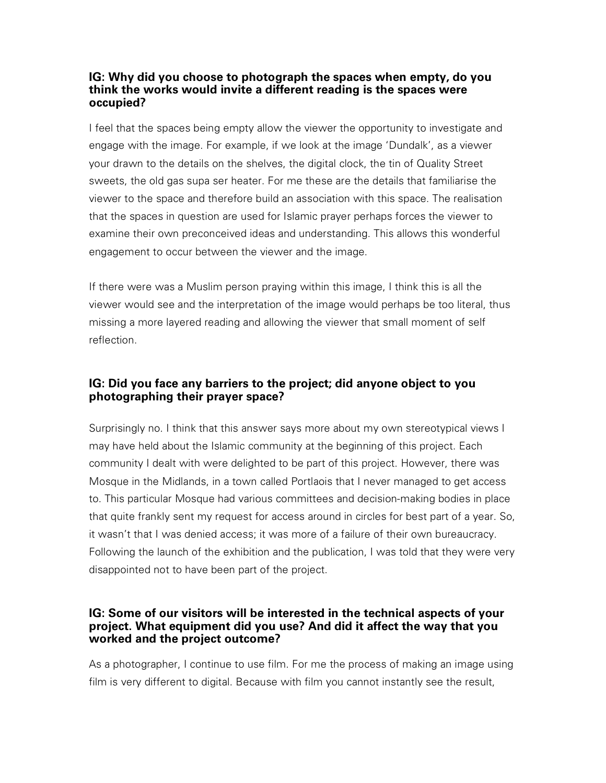### **IG: Why did you choose to photograph the spaces when empty, do you think the works would invite a different reading is the spaces were occupied?**

I feel that the spaces being empty allow the viewer the opportunity to investigate and engage with the image. For example, if we look at the image 'Dundalk', as a viewer your drawn to the details on the shelves, the digital clock, the tin of Quality Street sweets, the old gas supa ser heater. For me these are the details that familiarise the viewer to the space and therefore build an association with this space. The realisation that the spaces in question are used for Islamic prayer perhaps forces the viewer to examine their own preconceived ideas and understanding. This allows this wonderful engagement to occur between the viewer and the image.

If there were was a Muslim person praying within this image, I think this is all the viewer would see and the interpretation of the image would perhaps be too literal, thus missing a more layered reading and allowing the viewer that small moment of self reflection.

# **IG: Did you face any barriers to the project; did anyone object to you photographing their prayer space?**

Surprisingly no. I think that this answer says more about my own stereotypical views I may have held about the Islamic community at the beginning of this project. Each community I dealt with were delighted to be part of this project. However, there was Mosque in the Midlands, in a town called Portlaois that I never managed to get access to. This particular Mosque had various committees and decision-making bodies in place that quite frankly sent my request for access around in circles for best part of a year. So, it wasn't that I was denied access; it was more of a failure of their own bureaucracy. Following the launch of the exhibition and the publication, I was told that they were very disappointed not to have been part of the project.

### **IG: Some of our visitors will be interested in the technical aspects of your project. What equipment did you use? And did it affect the way that you worked and the project outcome?**

As a photographer, I continue to use film. For me the process of making an image using film is very different to digital. Because with film you cannot instantly see the result,